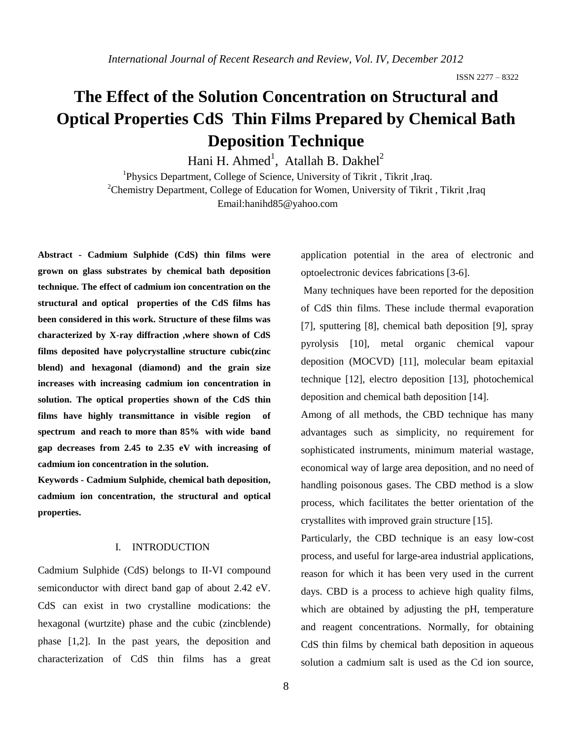# **The Effect of the Solution Concentration on Structural and Optical Properties CdS Thin Films Prepared by Chemical Bath Deposition Technique**

Hani H. Ahmed<sup>1</sup>, Atallah B. Dakhel<sup>2</sup>

<sup>1</sup>Physics Department, College of Science, University of Tikrit, Tikrit, Iraq. <sup>2</sup>Chemistry Department, College of Education for Women, University of Tikrit, Tikrit, Iraq Email:hanihd85@yahoo.com

**Abstract - Cadmium Sulphide (CdS) thin films were grown on glass substrates by chemical bath deposition technique. The effect of cadmium ion concentration on the structural and optical properties of the CdS films has been considered in this work. Structure of these films was characterized by X-ray diffraction ,where shown of CdS films deposited have polycrystalline structure cubic(zinc blend) and hexagonal (diamond) and the grain size increases with increasing cadmium ion concentration in solution. The optical properties shown of the CdS thin films have highly transmittance in visible region of spectrum and reach to more than 85% with wide band gap decreases from 2.45 to 2.35 eV with increasing of cadmium ion concentration in the solution.**

**Keywords - Cadmium Sulphide, chemical bath deposition, cadmium ion concentration, the structural and optical properties.**

#### I. INTRODUCTION

Cadmium Sulphide (CdS) belongs to II-VI compound semiconductor with direct band gap of about 2.42 eV. CdS can exist in two crystalline modications: the hexagonal (wurtzite) phase and the cubic (zincblende) phase [1,2]. In the past years, the deposition and characterization of CdS thin films has a great

application potential in the area of electronic and optoelectronic devices fabrications [3-6].

Many techniques have been reported for the deposition of CdS thin films. These include thermal evaporation [7], sputtering [8], chemical bath deposition [9], spray pyrolysis [10], metal organic chemical vapour deposition (MOCVD) [11], molecular beam epitaxial technique [12], electro deposition [13], photochemical deposition and chemical bath deposition [14].

Among of all methods, the CBD technique has many advantages such as simplicity, no requirement for sophisticated instruments, minimum material wastage, economical way of large area deposition, and no need of handling poisonous gases. The CBD method is a slow process, which facilitates the better orientation of the crystallites with improved grain structure [15].

Particularly, the CBD technique is an easy low-cost process, and useful for large-area industrial applications, reason for which it has been very used in the current days. CBD is a process to achieve high quality films, which are obtained by adjusting the pH, temperature and reagent concentrations. Normally, for obtaining CdS thin films by chemical bath deposition in aqueous solution a cadmium salt is used as the Cd ion source,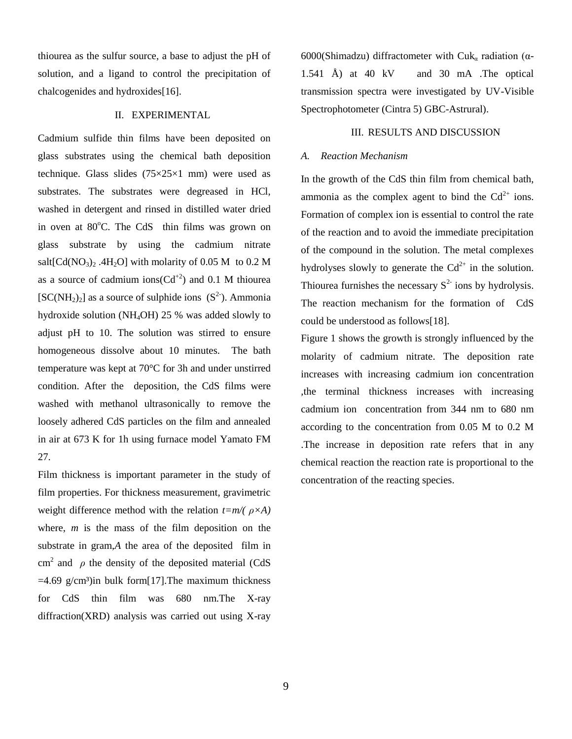thiourea as the sulfur source, a base to adjust the pH of solution, and a ligand to control the precipitation of chalcogenides and hydroxides[16].

# II. EXPERIMENTAL

Cadmium sulfide thin films have been deposited on glass substrates using the chemical bath deposition technique. Glass slides (75×25×1 mm) were used as substrates. The substrates were degreased in HCl, washed in detergent and rinsed in distilled water dried in oven at  $80^{\circ}$ C. The CdS thin films was grown on glass substrate by using the cadmium nitrate salt $\text{[Cd}(\text{NO}_3)_2$ .  $4\text{H}_2\text{O}$  with molarity of 0.05 M to 0.2 M as a source of cadmium ions( $Cd^{+2}$ ) and 0.1 M thiourea  $[SC(NH<sub>2</sub>)<sub>2</sub>]$  as a source of sulphide ions  $(S<sup>2</sup>)$ . Ammonia hydroxide solution (NH4OH) 25 % was added slowly to adjust pH to 10. The solution was stirred to ensure homogeneous dissolve about 10 minutes. The bath temperature was kept at 70°C for 3h and under unstirred condition. After the deposition, the CdS films were washed with methanol ultrasonically to remove the loosely adhered CdS particles on the film and annealed in air at 673 K for 1h using furnace model Yamato FM 27.

Film thickness is important parameter in the study of film properties. For thickness measurement, gravimetric weight difference method with the relation *t=m/( ρ×A)* where, *m* is the mass of the film deposition on the substrate in gram,*A* the area of the deposited film in cm<sup>2</sup> and  $\rho$  the density of the deposited material (CdS)  $=4.69$  g/cm<sup>3</sup>)in bulk form[17]. The maximum thickness for CdS thin film was 680 nm.The X-ray diffraction(XRD) analysis was carried out using X-ray

6000(Shimadzu) diffractometer with Cuk<sub>α</sub> radiation ( $\alpha$ -1.541 Å) at 40 kV and 30 mA .The optical transmission spectra were investigated by UV-Visible Spectrophotometer (Cintra 5) GBC-Astrural).

#### III. RESULTS AND DISCUSSION

## *A. Reaction Mechanism*

In the growth of the CdS thin film from chemical bath, ammonia as the complex agent to bind the  $Cd^{2+}$  ions. Formation of complex ion is essential to control the rate of the reaction and to avoid the immediate precipitation of the compound in the solution. The metal complexes hydrolyses slowly to generate the  $Cd^{2+}$  in the solution. Thiourea furnishes the necessary  $S<sup>2</sup>$  ions by hydrolysis. The reaction mechanism for the formation of CdS could be understood as follows[18].

Figure 1 shows the growth is strongly influenced by the molarity of cadmium nitrate. The deposition rate increases with increasing cadmium ion concentration ,the terminal thickness increases with increasing cadmium ion concentration from 344 nm to 680 nm according to the concentration from 0.05 M to 0.2 M .The increase in deposition rate refers that in any chemical reaction the reaction rate is proportional to the concentration of the reacting species.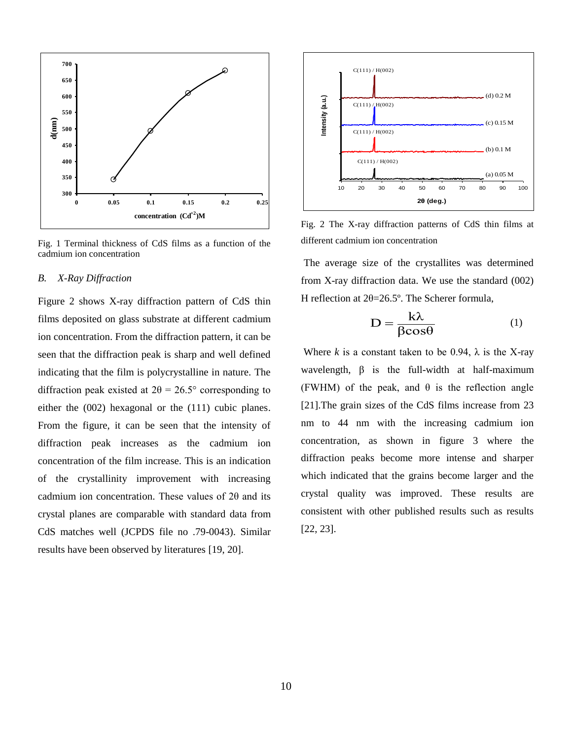

Fig. 1 Terminal thickness of CdS films as a function of the cadmium ion concentration

#### *B. X-Ray Diffraction*

Figure 2 shows X-ray diffraction pattern of CdS thin films deposited on glass substrate at different cadmium ion concentration. From the diffraction pattern, it can be seen that the diffraction peak is sharp and well defined indicating that the film is polycrystalline in nature. The diffraction peak existed at  $2\theta = 26.5^{\circ}$  corresponding to either the (002) hexagonal or the (111) cubic planes. From the figure, it can be seen that the intensity of diffraction peak increases as the cadmium ion concentration of the film increase. This is an indication of the crystallinity improvement with increasing cadmium ion concentration. These values of 2θ and its crystal planes are comparable with standard data from CdS matches well (JCPDS file no .79-0043). Similar results have been observed by literatures [19, 20].



Fig. 2 The X-ray diffraction patterns of CdS thin films at different cadmium ion concentration

The average size of the crystallites was determined from X-ray diffraction data. We use the standard (002) H reflection at 2θ=26.5º. The Scherer formula,

$$
D = \frac{k\lambda}{\beta \cos \theta} \tag{1}
$$

Where *k* is a constant taken to be 0.94,  $\lambda$  is the X-ray wavelength,  $\beta$  is the full-width at half-maximum (FWHM) of the peak, and  $\theta$  is the reflection angle [21].The grain sizes of the CdS films increase from 23 nm to 44 nm with the increasing cadmium ion concentration, as shown in figure 3 where the diffraction peaks become more intense and sharper which indicated that the grains become larger and the crystal quality was improved. These results are consistent with other published results such as results [22, 23].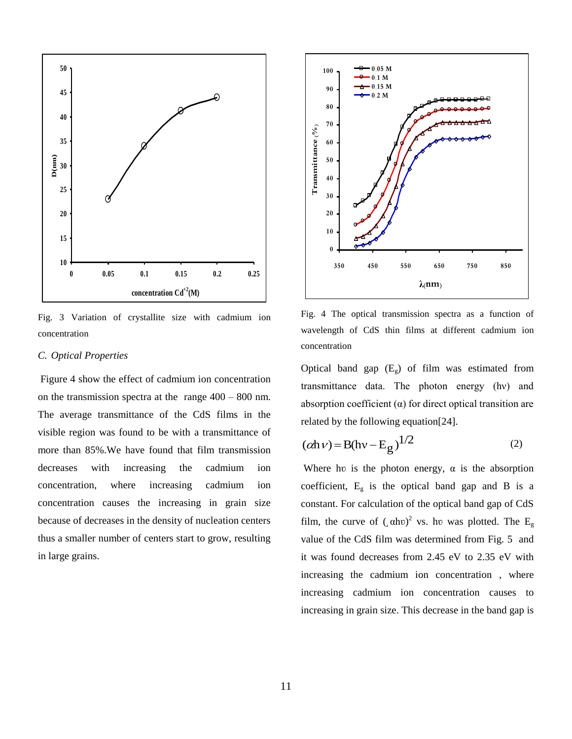

Fig. 3 Variation of crystallite size with cadmium ion concentration

## *C. Optical Properties*

Figure 4 show the effect of cadmium ion concentration on the transmission spectra at the range 400 – 800 nm. The average transmittance of the CdS films in the visible region was found to be with a transmittance of more than 85%.We have found that film transmission decreases with increasing the cadmium ion concentration, where increasing cadmium ion concentration causes the increasing in grain size because of decreases in the density of nucleation centers thus a smaller number of centers start to grow, resulting in large grains.



Fig. 4 The optical transmission spectra as a function of wavelength of CdS thin films at different cadmium ion concentration

Optical band gap  $(E_g)$  of film was estimated from transmittance data. The photon energy (hν) and absorption coefficient  $(\alpha)$  for direct optical transition are related by the following equation[24].

$$
(\alpha h \nu) = B(h\nu - E_g)^{1/2}
$$
 (2)

Where hv is the photon energy,  $\alpha$  is the absorption coefficient,  $E<sub>g</sub>$  is the optical band gap and B is a constant. For calculation of the optical band gap of CdS film, the curve of  $($ <sub>c</sub>  $(\alpha h \nu)^2$  vs. hv was plotted. The E<sub>g</sub> value of the CdS film was determined from Fig. 5 and it was found decreases from 2.45 eV to 2.35 eV with increasing the cadmium ion concentration , where increasing cadmium ion concentration causes to increasing in grain size. This decrease in the band gap is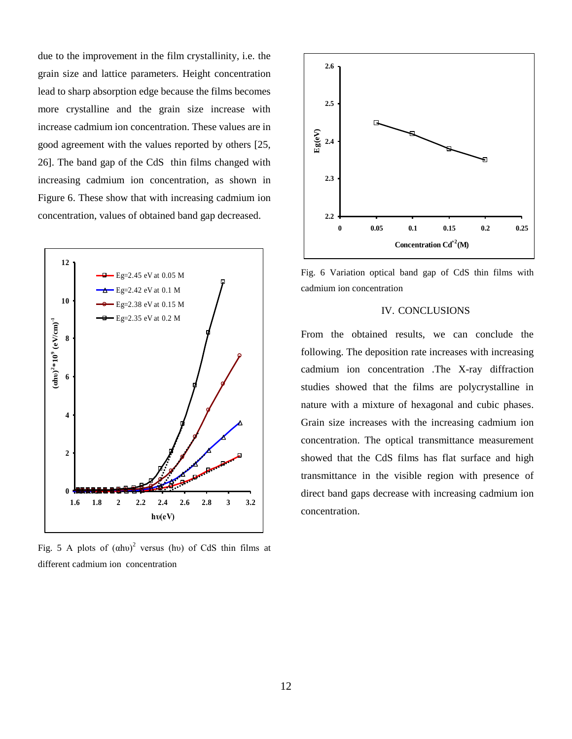due to the improvement in the film crystallinity, i.e. the grain size and lattice parameters. Height concentration lead to sharp absorption edge because the films becomes more crystalline and the grain size increase with increase cadmium ion concentration. These values are in good agreement with the values reported by others [25, 26]. The band gap of the CdS thin films changed with increasing cadmium ion concentration, as shown in Figure 6. These show that with increasing cadmium ion concentration, values of obtained band gap decreased.



Fig. 5 A plots of  $(ahu)^2$  versus (hv) of CdS thin films at different cadmium ion concentration



Fig. 6 Variation optical band gap of CdS thin films with cadmium ion concentration

### IV. CONCLUSIONS

From the obtained results, we can conclude the following. The deposition rate increases with increasing cadmium ion concentration .The X-ray diffraction studies showed that the films are polycrystalline in nature with a mixture of hexagonal and cubic phases. Grain size increases with the increasing cadmium ion concentration. The optical transmittance measurement showed that the CdS films has flat surface and high transmittance in the visible region with presence of direct band gaps decrease with increasing cadmium ion concentration.